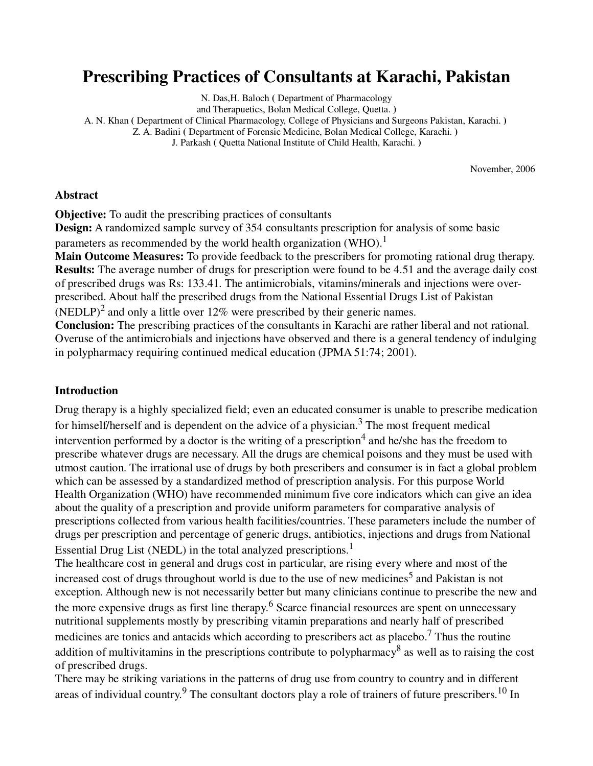# **Prescribing Practices of Consultants at Karachi, Pakistan**

N. Das,H. Baloch **(** Department of Pharmacology

and Therapuetics, Bolan Medical College, Quetta. **)** 

A. N. Khan **(** Department of Clinical Pharmacology, College of Physicians and Surgeons Pakistan, Karachi. **)** 

Z. A. Badini **(** Department of Forensic Medicine, Bolan Medical College, Karachi. **)** 

J. Parkash **(** Quetta National Institute of Child Health, Karachi. **)**

November, 2006

#### **Abstract**

**Objective:** To audit the prescribing practices of consultants

**Design:** A randomized sample survey of 354 consultants prescription for analysis of some basic parameters as recommended by the world health organization (WHO).<sup>1</sup>

**Main Outcome Measures:** To provide feedback to the prescribers for promoting rational drug therapy. **Results:** The average number of drugs for prescription were found to be 4.51 and the average daily cost of prescribed drugs was Rs: 133.41. The antimicrobials, vitamins/minerals and injections were overprescribed. About half the prescribed drugs from the National Essential Drugs List of Pakistan

(NEDLP)<sup>2</sup> and only a little over 12% were prescribed by their generic names.

**Conclusion:** The prescribing practices of the consultants in Karachi are rather liberal and not rational. Overuse of the antimicrobials and injections have observed and there is a general tendency of indulging in polypharmacy requiring continued medical education (JPMA 51:74; 2001).

#### **Introduction**

Drug therapy is a highly specialized field; even an educated consumer is unable to prescribe medication for himself/herself and is dependent on the advice of a physician.<sup>3</sup> The most frequent medical intervention performed by a doctor is the writing of a prescription<sup>4</sup> and he/she has the freedom to prescribe whatever drugs are necessary. All the drugs are chemical poisons and they must be used with utmost caution. The irrational use of drugs by both prescribers and consumer is in fact a global problem which can be assessed by a standardized method of prescription analysis. For this purpose World Health Organization (WHO) have recommended minimum five core indicators which can give an idea about the quality of a prescription and provide uniform parameters for comparative analysis of prescriptions collected from various health facilities/countries. These parameters include the number of drugs per prescription and percentage of generic drugs, antibiotics, injections and drugs from National Essential Drug List (NEDL) in the total analyzed prescriptions.<sup>1</sup>

The healthcare cost in general and drugs cost in particular, are rising every where and most of the increased cost of drugs throughout world is due to the use of new medicines<sup>5</sup> and Pakistan is not exception. Although new is not necessarily better but many clinicians continue to prescribe the new and the more expensive drugs as first line therapy.<sup>6</sup> Scarce financial resources are spent on unnecessary nutritional supplements mostly by prescribing vitamin preparations and nearly half of prescribed medicines are tonics and antacids which according to prescribers act as placebo.<sup>7</sup> Thus the routine addition of multivitamins in the prescriptions contribute to polypharmacy<sup>8</sup> as well as to raising the cost of prescribed drugs.

There may be striking variations in the patterns of drug use from country to country and in different areas of individual country.<sup>9</sup> The consultant doctors play a role of trainers of future prescribers.<sup>10</sup> In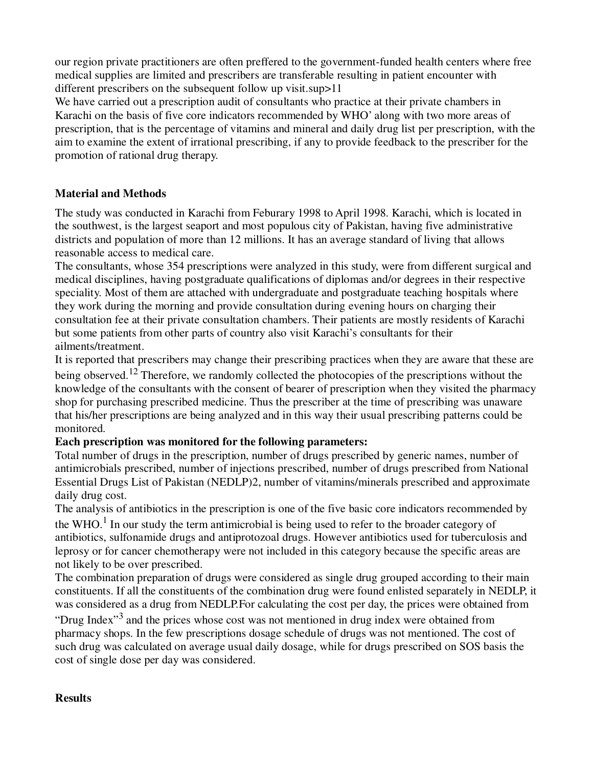our region private practitioners are often preffered to the government-funded health centers where free medical supplies are limited and prescribers are transferable resulting in patient encounter with different prescribers on the subsequent follow up visit.sup > 11

We have carried out a prescription audit of consultants who practice at their private chambers in Karachi on the basis of five core indicators recommended by WHO' along with two more areas of prescription, that is the percentage of vitamins and mineral and daily drug list per prescription, with the aim to examine the extent of irrational prescribing, if any to provide feedback to the prescriber for the promotion of rational drug therapy.

## **Material and Methods**

The study was conducted in Karachi from Feburary 1998 to April 1998. Karachi, which is located in the southwest, is the largest seaport and most populous city of Pakistan, having five administrative districts and population of more than 12 millions. It has an average standard of living that allows reasonable access to medical care.

The consultants, whose 354 prescriptions were analyzed in this study, were from different surgical and medical disciplines, having postgraduate qualifications of diplomas and/or degrees in their respective speciality. Most of them are attached with undergraduate and postgraduate teaching hospitals where they work during the morning and provide consultation during evening hours on charging their consultation fee at their private consultation chambers. Their patients are mostly residents of Karachi but some patients from other parts of country also visit Karachi's consultants for their ailments/treatment.

It is reported that prescribers may change their prescribing practices when they are aware that these are being observed.<sup>12</sup> Therefore, we randomly collected the photocopies of the prescriptions without the knowledge of the consultants with the consent of bearer of prescription when they visited the pharmacy shop for purchasing prescribed medicine. Thus the prescriber at the time of prescribing was unaware that his/her prescriptions are being analyzed and in this way their usual prescribing patterns could be monitored.

### **Each prescription was monitored for the following parameters:**

Total number of drugs in the prescription, number of drugs prescribed by generic names, number of antimicrobials prescribed, number of injections prescribed, number of drugs prescribed from National Essential Drugs List of Pakistan (NEDLP)2, number of vitamins/minerals prescribed and approximate daily drug cost.

The analysis of antibiotics in the prescription is one of the five basic core indicators recommended by the WHO.<sup>1</sup> In our study the term antimicrobial is being used to refer to the broader category of antibiotics, sulfonamide drugs and antiprotozoal drugs. However antibiotics used for tuberculosis and leprosy or for cancer chemotherapy were not included in this category because the specific areas are not likely to be over prescribed.

The combination preparation of drugs were considered as single drug grouped according to their main constituents. If all the constituents of the combination drug were found enlisted separately in NEDLP, it was considered as a drug from NEDLP.For calculating the cost per day, the prices were obtained from

"Drug Index"<sup>3</sup> and the prices whose cost was not mentioned in drug index were obtained from pharmacy shops. In the few prescriptions dosage schedule of drugs was not mentioned. The cost of such drug was calculated on average usual daily dosage, while for drugs prescribed on SOS basis the cost of single dose per day was considered.

#### **Results**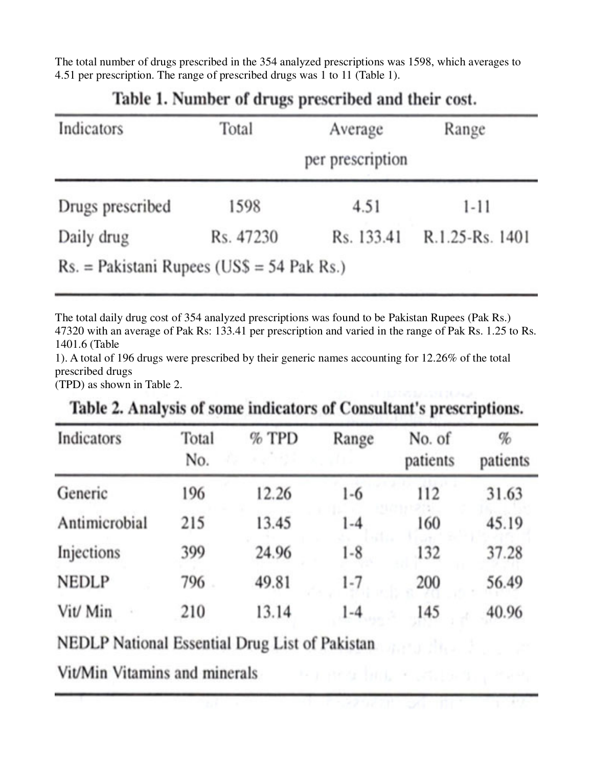The total number of drugs prescribed in the 354 analyzed prescriptions was 1598, which averages to 4.51 per prescription. The range of prescribed drugs was 1 to 11 (Table 1).

| Indicators                                   | Total     | Range      |                 |
|----------------------------------------------|-----------|------------|-----------------|
| Drugs prescribed                             | 1598      | 4.51       | $1 - 11$        |
| Daily drug                                   | Rs. 47230 | Rs. 133.41 | R.1.25-Rs. 1401 |
| $Rs. = Pakistani$ Rupees (US\$ = 54 Pak Rs.) |           |            |                 |

# Table 1. Number of drugs prescribed and their cost.

The total daily drug cost of 354 analyzed prescriptions was found to be Pakistan Rupees (Pak Rs.) 47320 with an average of Pak Rs: 133.41 per prescription and varied in the range of Pak Rs. 1.25 to Rs. 1401.6 (Table

1). A total of 196 drugs were prescribed by their generic names accounting for 12.26% of the total prescribed drugs

(TPD) as shown in Table 2.

| Indicators    | Total<br>No. | $%$ TPD | Range   | No. of<br>patients | $\%$<br>patients |
|---------------|--------------|---------|---------|--------------------|------------------|
| Generic       | 196          | 12.26   | $1-6$   | 112                | 31.63            |
| Antimicrobial | 215          | 13.45   | $1 - 4$ | 160                | 45.19            |
| Injections    | 399          | 24.96   | $1-8$   | 132                | 37.28            |
| <b>NEDLP</b>  | 796          | 49.81   | $1 - 7$ | 200                | 56.49            |
| Vit/ Min      | 210          | 13.14   | $1 - 4$ | 145                | 40.96            |

THE REPORT FOR LINE

Table 2. Analysis of some indicators of Consultant's prescriptions.

NEDLP National Essential Drug List of Pakistan

Vit/Min Vitamins and minerals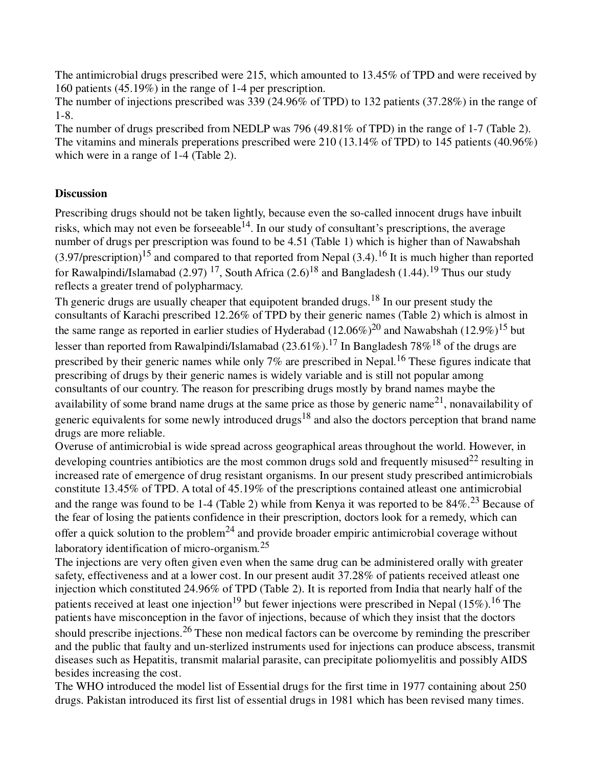The antimicrobial drugs prescribed were 215, which amounted to 13.45% of TPD and were received by 160 patients (45.19%) in the range of 1-4 per prescription.

The number of injections prescribed was 339 (24.96% of TPD) to 132 patients (37.28%) in the range of 1-8.

The number of drugs prescribed from NEDLP was 796 (49.81% of TPD) in the range of 1-7 (Table 2). The vitamins and minerals preperations prescribed were 210 (13.14% of TPD) to 145 patients (40.96%) which were in a range of 1-4 (Table 2).

## **Discussion**

Prescribing drugs should not be taken lightly, because even the so-called innocent drugs have inbuilt risks, which may not even be forseeable  $14$ . In our study of consultant's prescriptions, the average number of drugs per prescription was found to be 4.51 (Table 1) which is higher than of Nawabshah  $(3.97/prescription)^{15}$  and compared to that reported from Nepal  $(3.4)$ .<sup>16</sup> It is much higher than reported for Rawalpindi/Islamabad (2.97) <sup>17</sup>, South Africa (2.6)<sup>18</sup> and Bangladesh (1.44).<sup>19</sup> Thus our study reflects a greater trend of polypharmacy.

Th generic drugs are usually cheaper that equipotent branded drugs.<sup>18</sup> In our present study the consultants of Karachi prescribed 12.26% of TPD by their generic names (Table 2) which is almost in the same range as reported in earlier studies of Hyderabad  $(12.06\%)^{20}$  and Nawabshah  $(12.9\%)^{15}$  but lesser than reported from Rawalpindi/Islamabad (23.61%).<sup>17</sup> In Bangladesh 78%<sup>18</sup> of the drugs are prescribed by their generic names while only 7% are prescribed in Nepal.<sup>16</sup> These figures indicate that prescribing of drugs by their generic names is widely variable and is still not popular among consultants of our country. The reason for prescribing drugs mostly by brand names maybe the availability of some brand name drugs at the same price as those by generic name<sup>21</sup>, nonavailability of generic equivalents for some newly introduced drugs<sup>18</sup> and also the doctors perception that brand name drugs are more reliable.

Overuse of antimicrobial is wide spread across geographical areas throughout the world. However, in developing countries antibiotics are the most common drugs sold and frequently misused<sup>22</sup> resulting in increased rate of emergence of drug resistant organisms. In our present study prescribed antimicrobials constitute 13.45% of TPD. A total of 45.19% of the prescriptions contained atleast one antimicrobial and the range was found to be 1-4 (Table 2) while from Kenya it was reported to be  $84\%$ .<sup>23</sup> Because of the fear of losing the patients confidence in their prescription, doctors look for a remedy, which can offer a quick solution to the problem<sup>24</sup> and provide broader empiric antimicrobial coverage without laboratory identification of micro-organism.<sup>25</sup>

The injections are very often given even when the same drug can be administered orally with greater safety, effectiveness and at a lower cost. In our present audit 37.28% of patients received atleast one injection which constituted 24.96% of TPD (Table 2). It is reported from India that nearly half of the patients received at least one injection<sup>19</sup> but fewer injections were prescribed in Nepal (15%).<sup>16</sup> The patients have misconception in the favor of injections, because of which they insist that the doctors should prescribe injections.<sup>26</sup> These non medical factors can be overcome by reminding the prescriber and the public that faulty and un-sterlized instruments used for injections can produce abscess, transmit diseases such as Hepatitis, transmit malarial parasite, can precipitate poliomyelitis and possibly AIDS besides increasing the cost.

The WHO introduced the model list of Essential drugs for the first time in 1977 containing about 250 drugs. Pakistan introduced its first list of essential drugs in 1981 which has been revised many times.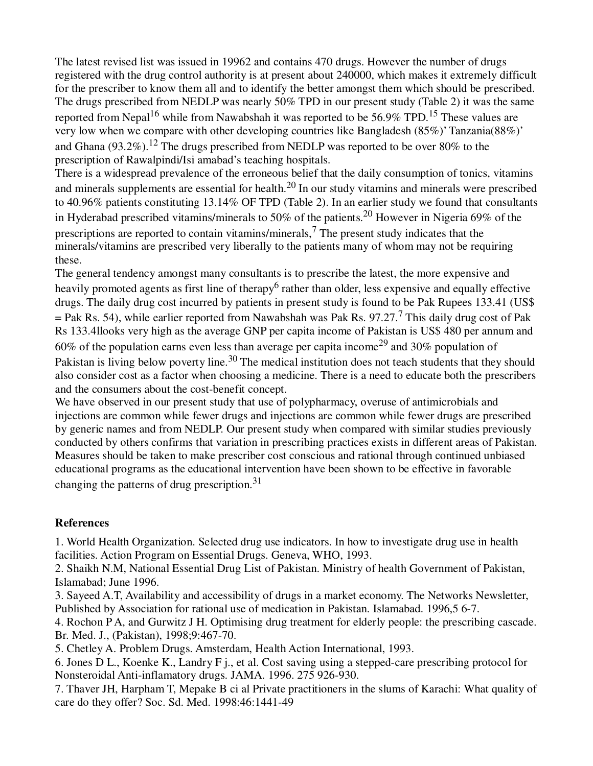The latest revised list was issued in 19962 and contains 470 drugs. However the number of drugs registered with the drug control authority is at present about 240000, which makes it extremely difficult for the prescriber to know them all and to identify the better amongst them which should be prescribed. The drugs prescribed from NEDLP was nearly 50% TPD in our present study (Table 2) it was the same reported from Nepal<sup>16</sup> while from Nawabshah it was reported to be 56.9% TPD.<sup>15</sup> These values are very low when we compare with other developing countries like Bangladesh (85%)' Tanzania(88%)' and Ghana (93.2%).<sup>12</sup> The drugs prescribed from NEDLP was reported to be over 80% to the prescription of Rawalpindi/Isi amabad's teaching hospitals.

There is a widespread prevalence of the erroneous belief that the daily consumption of tonics, vitamins and minerals supplements are essential for health.20 In our study vitamins and minerals were prescribed to 40.96% patients constituting 13.14% OF TPD (Table 2). In an earlier study we found that consultants in Hyderabad prescribed vitamins/minerals to 50% of the patients.<sup>20</sup> However in Nigeria 69% of the prescriptions are reported to contain vitamins/minerals,<sup>7</sup> The present study indicates that the minerals/vitamins are prescribed very liberally to the patients many of whom may not be requiring these.

The general tendency amongst many consultants is to prescribe the latest, the more expensive and heavily promoted agents as first line of therapy<sup>6</sup> rather than older, less expensive and equally effective drugs. The daily drug cost incurred by patients in present study is found to be Pak Rupees 133.41 (US\$  $=$  Pak Rs. 54), while earlier reported from Nawabshah was Pak Rs. 97.27.<sup>7</sup> This daily drug cost of Pak Rs 133.4llooks very high as the average GNP per capita income of Pakistan is US\$ 480 per annum and 60% of the population earns even less than average per capita income<sup>29</sup> and 30% population of Pakistan is living below poverty line.<sup>30</sup> The medical institution does not teach students that they should also consider cost as a factor when choosing a medicine. There is a need to educate both the prescribers and the consumers about the cost-benefit concept.

We have observed in our present study that use of polypharmacy, overuse of antimicrobials and injections are common while fewer drugs and injections are common while fewer drugs are prescribed by generic names and from NEDLP. Our present study when compared with similar studies previously conducted by others confirms that variation in prescribing practices exists in different areas of Pakistan. Measures should be taken to make prescriber cost conscious and rational through continued unbiased educational programs as the educational intervention have been shown to be effective in favorable changing the patterns of drug prescription.<sup>31</sup>

### **References**

1. World Health Organization. Selected drug use indicators. In how to investigate drug use in health facilities. Action Program on Essential Drugs. Geneva, WHO, 1993.

2. Shaikh N.M, National Essential Drug List of Pakistan. Ministry of health Government of Pakistan, Islamabad; June 1996.

3. Sayeed A.T, Availability and accessibility of drugs in a market economy. The Networks Newsletter, Published by Association for rational use of medication in Pakistan. Islamabad. 1996,5 6-7.

4. Rochon P A, and Gurwitz J H. Optimising drug treatment for elderly people: the prescribing cascade. Br. Med. J., (Pakistan), 1998;9:467-70.

5. Chetley A. Problem Drugs. Amsterdam, Health Action International, 1993.

6. Jones D L., Koenke K., Landry F j., et al. Cost saving using a stepped-care prescribing protocol for Nonsteroidal Anti-inflamatory drugs. JAMA. 1996. 275 926-930.

7. Thaver JH, Harpham T, Mepake B ci al Private practitioners in the slums of Karachi: What quality of care do they offer? Soc. Sd. Med. 1998:46:1441-49